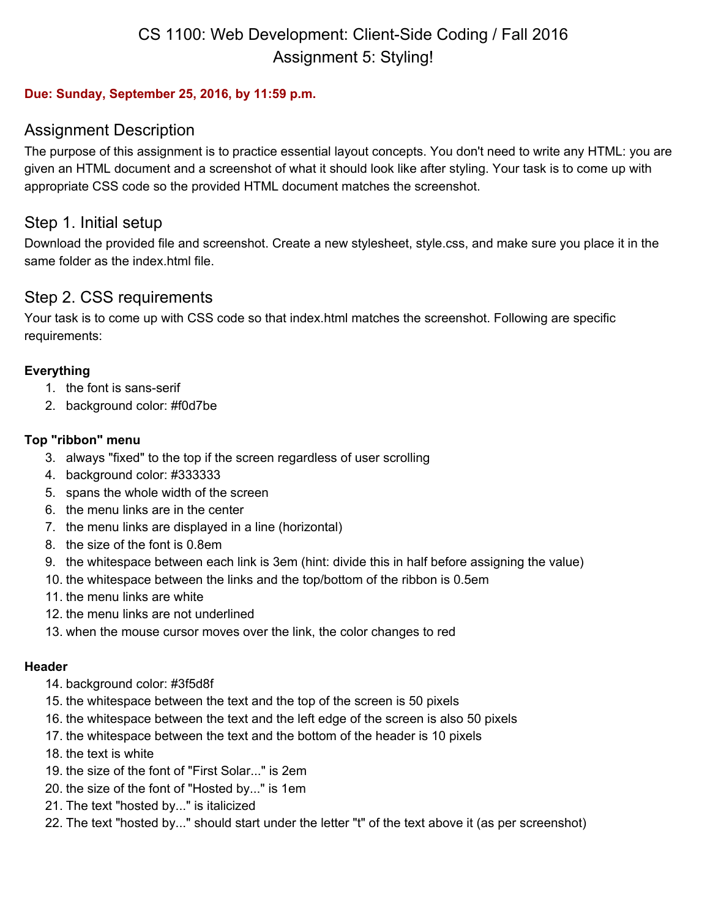## CS 1100: Web Development: Client-Side Coding / Fall 2016 Assignment 5: Styling!

#### **Due: Sunday, September 25, 2016, by 11:59 p.m.**

## Assignment Description

The purpose of this assignment is to practice essential layout concepts. You don't need to write any HTML: you are given an HTML document and a screenshot of what it should look like after styling. Your task is to come up with appropriate CSS code so the provided HTML document matches the screenshot.

## Step 1. Initial setup

Download the provided file and screenshot. Create a new stylesheet, style.css, and make sure you place it in the same folder as the index.html file.

## Step 2. CSS requirements

Your task is to come up with CSS code so that index.html matches the screenshot. Following are specific requirements:

#### **Everything**

- 1. the font is sans-serif
- 2. background color: #f0d7be

#### **Top "ribbon" menu**

- 3. always "fixed" to the top if the screen regardless of user scrolling
- 4. background color: #333333
- 5. spans the whole width of the screen
- 6. the menu links are in the center
- 7. the menu links are displayed in a line (horizontal)
- 8. the size of the font is 0.8em
- 9. the whitespace between each link is 3em (hint: divide this in half before assigning the value)
- 10. the whitespace between the links and the top/bottom of the ribbon is 0.5em
- 11. the menu links are white
- 12. the menu links are not underlined
- 13. when the mouse cursor moves over the link, the color changes to red

#### **Header**

- 14. background color: #3f5d8f
- 15. the whitespace between the text and the top of the screen is 50 pixels
- 16. the whitespace between the text and the left edge of the screen is also 50 pixels
- 17. the whitespace between the text and the bottom of the header is 10 pixels
- 18. the text is white
- 19. the size of the font of "First Solar..." is 2em
- 20. the size of the font of "Hosted by..." is 1em
- 21. The text "hosted by..." is italicized
- 22. The text "hosted by..." should start under the letter "t" of the text above it (as per screenshot)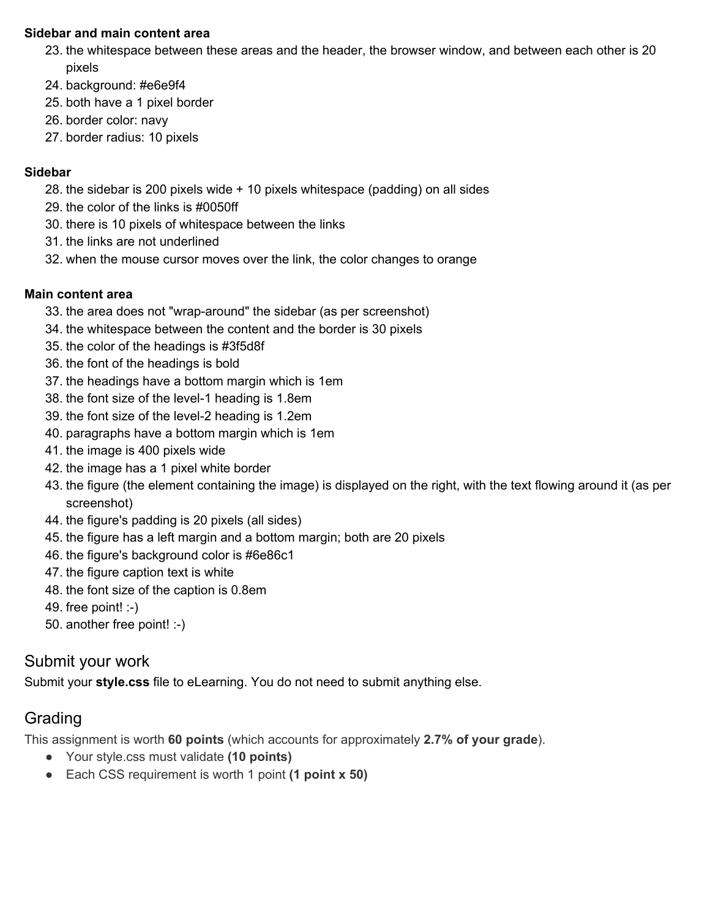#### **Sidebar and main content area**

- 23. the whitespace between these areas and the header, the browser window, and between each other is 20 pixels
- 24. background: #e6e9f4
- 25. both have a 1 pixel border
- 26. border color: navy
- 27. border radius: 10 pixels

### **Sidebar**

- 28. the sidebar is 200 pixels wide + 10 pixels whitespace (padding) on all sides
- 29. the color of the links is #0050ff
- 30. there is 10 pixels of whitespace between the links
- 31. the links are not underlined
- 32. when the mouse cursor moves over the link, the color changes to orange

### **Main content area**

- 33. the area does not "wrap-around" the sidebar (as per screenshot)
- 34. the whitespace between the content and the border is 30 pixels
- 35. the color of the headings is #3f5d8f
- 36. the font of the headings is bold
- 37. the headings have a bottom margin which is 1em
- 38. the font size of the level-1 heading is 1.8em
- 39. the font size of the level-2 heading is 1.2em
- 40. paragraphs have a bottom margin which is 1em
- 41. the image is 400 pixels wide
- 42. the image has a 1 pixel white border
- 43. the figure (the element containing the image) is displayed on the right, with the text flowing around it (as per screenshot)
- 44. the figure's padding is 20 pixels (all sides)
- 45. the figure has a left margin and a bottom margin; both are 20 pixels
- 46. the figure's background color is #6e86c1
- 47. the figure caption text is white
- 48. the font size of the caption is 0.8em
- 49. free point!  $:-)$
- 50. another free point! :-)

## Submit your work

Submit your **style.css** file to eLearning. You do not need to submit anything else.

## Grading

This assignment is worth **60 points** (which accounts for approximately **2.7% of your grade**).

- Your style.css must validate **(10 points)**
- Each CSS requirement is worth 1 point **(1 point x 50)**